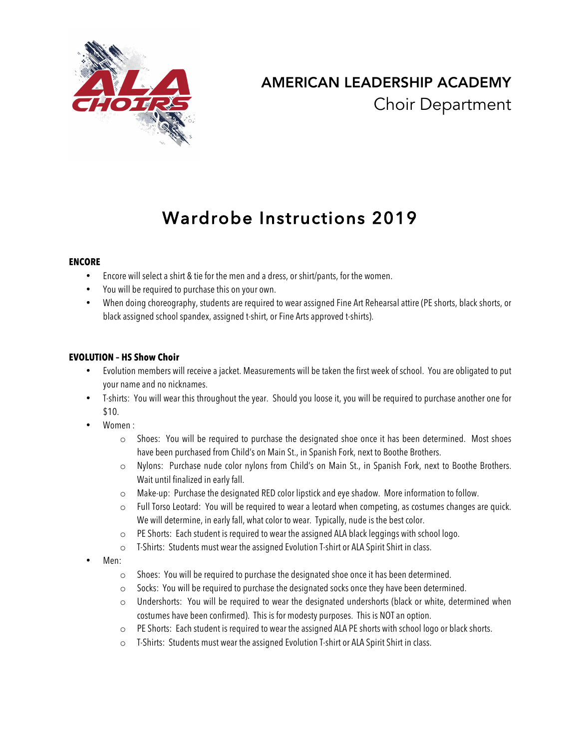

## AMERICAN LEADERSHIP ACADEMY Choir Department

# Wardrobe Instructions 2019

## **ENCORE**

- Encore will select a shirt & tie for the men and a dress, or shirt/pants, for the women.
- You will be required to purchase this on your own.
- When doing choreography, students are required to wear assigned Fine Art Rehearsal attire (PE shorts, black shorts, or black assigned school spandex, assigned t-shirt, or Fine Arts approved t-shirts).

## **EVOLUTION – HS Show Choir**

- Evolution members will receive a jacket. Measurements will be taken the first week of school. You are obligated to put your name and no nicknames.
- T-shirts: You will wear this throughout the year. Should you loose it, you will be required to purchase another one for \$10.
- Women :
	- $\circ$  Shoes: You will be required to purchase the designated shoe once it has been determined. Most shoes have been purchased from Child's on Main St., in Spanish Fork, next to Boothe Brothers.
	- o Nylons: Purchase nude color nylons from Child's on Main St., in Spanish Fork, next to Boothe Brothers. Wait until finalized in early fall.
	- o Make-up: Purchase the designated RED color lipstick and eye shadow. More information to follow.
	- $\circ$  Full Torso Leotard: You will be required to wear a leotard when competing, as costumes changes are quick. We will determine, in early fall, what color to wear. Typically, nude is the best color.
	- o PE Shorts: Each student is required to wear the assigned ALA black leggings with school logo.
	- o T-Shirts: Students must wear the assigned Evolution T-shirt or ALA Spirit Shirt in class.
- Men:
	- o Shoes: You will be required to purchase the designated shoe once it has been determined.
	- o Socks: You will be required to purchase the designated socks once they have been determined.
	- $\circ$  Undershorts: You will be required to wear the designated undershorts (black or white, determined when costumes have been confirmed). This is for modesty purposes. This is NOT an option.
	- o PE Shorts: Each student is required to wear the assigned ALA PE shorts with school logo or black shorts.
	- o T-Shirts: Students must wear the assigned Evolution T-shirt or ALA Spirit Shirt in class.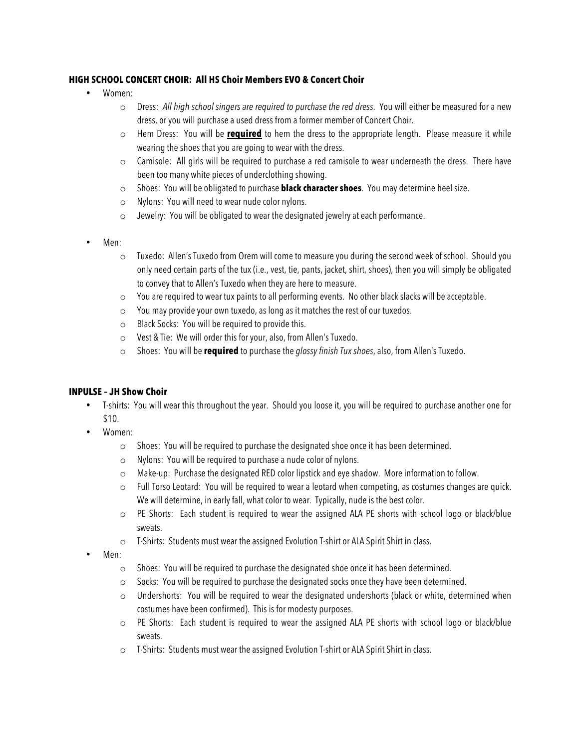## **HIGH SCHOOL CONCERT CHOIR: All HS Choir Members EVO & Concert Choir**

- Women:
	- o Dress: *All high school singers are required to purchase the red dress*. You will either be measured for a new dress, or you will purchase a used dress from a former member of Concert Choir.
	- o Hem Dress: You will be **required** to hem the dress to the appropriate length. Please measure it while wearing the shoes that you are going to wear with the dress.
	- o Camisole: All girls will be required to purchase a red camisole to wear underneath the dress. There have been too many white pieces of underclothing showing.
	- o Shoes: You will be obligated to purchase **black character shoes**. You may determine heel size.
	- o Nylons: You will need to wear nude color nylons.
	- o Jewelry: You will be obligated to wear the designated jewelry at each performance.
- Men:
	- o Tuxedo: Allen's Tuxedo from Orem will come to measure you during the second week of school. Should you only need certain parts of the tux (i.e., vest, tie, pants, jacket, shirt, shoes), then you will simply be obligated to convey that to Allen's Tuxedo when they are here to measure.
	- o You are required to wear tux paints to all performing events. No other black slacks will be acceptable.
	- o You may provide your own tuxedo, as long as it matches the rest of our tuxedos.
	- o Black Socks: You will be required to provide this.
	- o Vest & Tie: We will order this for your, also, from Allen's Tuxedo.
	- o Shoes: You will be **required** to purchase the *glossy finish Tux shoes*, also, from Allen's Tuxedo.

#### **INPULSE – JH Show Choir**

- T-shirts: You will wear this throughout the year. Should you loose it, you will be required to purchase another one for \$10.
- Women:
	- o Shoes: You will be required to purchase the designated shoe once it has been determined.
	- o Nylons: You will be required to purchase a nude color of nylons.
	- o Make-up: Purchase the designated RED color lipstick and eye shadow. More information to follow.
	- $\circ$  Full Torso Leotard: You will be required to wear a leotard when competing, as costumes changes are quick. We will determine, in early fall, what color to wear. Typically, nude is the best color.
	- $\circ$  PE Shorts: Each student is required to wear the assigned ALA PE shorts with school logo or black/blue sweats.
	- o T-Shirts: Students must wear the assigned Evolution T-shirt or ALA Spirit Shirt in class.
- Men:
	- o Shoes: You will be required to purchase the designated shoe once it has been determined.
	- o Socks: You will be required to purchase the designated socks once they have been determined.
	- o Undershorts: You will be required to wear the designated undershorts (black or white, determined when costumes have been confirmed). This is for modesty purposes.
	- o PE Shorts: Each student is required to wear the assigned ALA PE shorts with school logo or black/blue sweats.
	- o T-Shirts: Students must wear the assigned Evolution T-shirt or ALA Spirit Shirt in class.